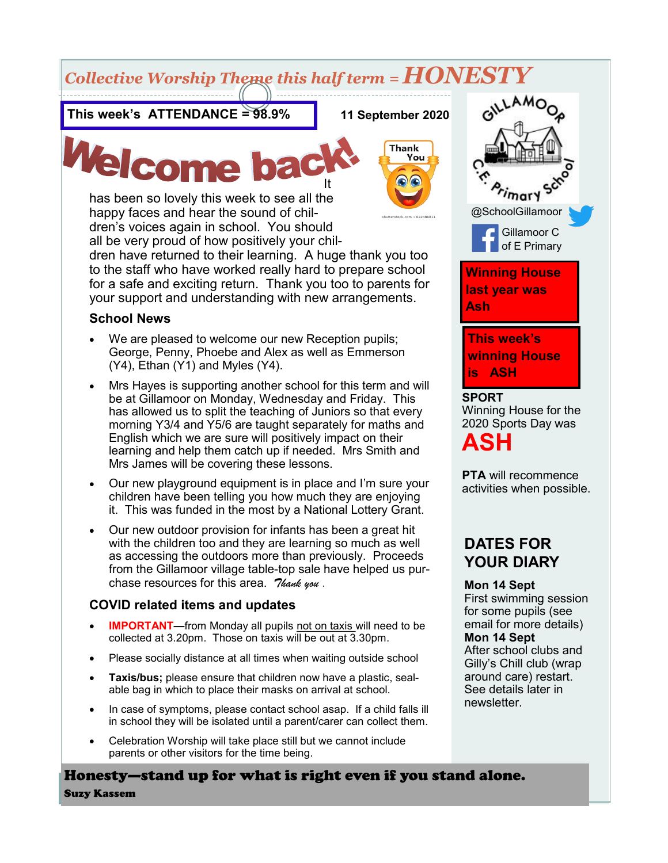# *Collective Worship Theme this half term = HONESTY*

**This week's ATTENDANCE = 98.9%**

**11 September 2020**



has been so lovely this week to see all the happy faces and hear the sound of children's voices again in school. You should all be very proud of how positively your chil-



dren have returned to their learning. A huge thank you too to the staff who have worked really hard to prepare school for a safe and exciting return. Thank you too to parents for your support and understanding with new arrangements.

#### **School News**

- We are pleased to welcome our new Reception pupils; George, Penny, Phoebe and Alex as well as Emmerson (Y4), Ethan (Y1) and Myles (Y4).
- Mrs Hayes is supporting another school for this term and will be at Gillamoor on Monday, Wednesday and Friday. This has allowed us to split the teaching of Juniors so that every morning Y3/4 and Y5/6 are taught separately for maths and English which we are sure will positively impact on their learning and help them catch up if needed. Mrs Smith and Mrs James will be covering these lessons.
- Our new playground equipment is in place and I'm sure your children have been telling you how much they are enjoying it. This was funded in the most by a National Lottery Grant.
- Our new outdoor provision for infants has been a great hit with the children too and they are learning so much as well as accessing the outdoors more than previously. Proceeds from the Gillamoor village table-top sale have helped us purchase resources for this area. *Thank you .*

### **COVID related items and updates**

- **IMPORTANT—**from Monday all pupils not on taxis will need to be collected at 3.20pm. Those on taxis will be out at 3.30pm.
- Please socially distance at all times when waiting outside school
- **Taxis/bus;** please ensure that children now have a plastic, sealable bag in which to place their masks on arrival at school.
- In case of symptoms, please contact school asap. If a child falls ill in school they will be isolated until a parent/carer can collect them.
- Celebration Worship will take place still but we cannot include parents or other visitors for the time being.

marY @SchoolGillamoor Gillamoor C of E Primary **Winning House last year was Ash This week's winning House is ASH**

AMOO

**SPORT** Winning House for the 2020 Sports Day was **ASH**

**PTA** will recommence activities when possible.

# **DATES FOR YOUR DIARY**

#### **Mon 14 Sept**

First swimming session for some pupils (see email for more details) **Mon 14 Sept** After school clubs and

Gilly's Chill club (wrap around care) restart. See details later in newsletter.

Honesty—stand up for what is right even if you stand alone. Suzy Kassem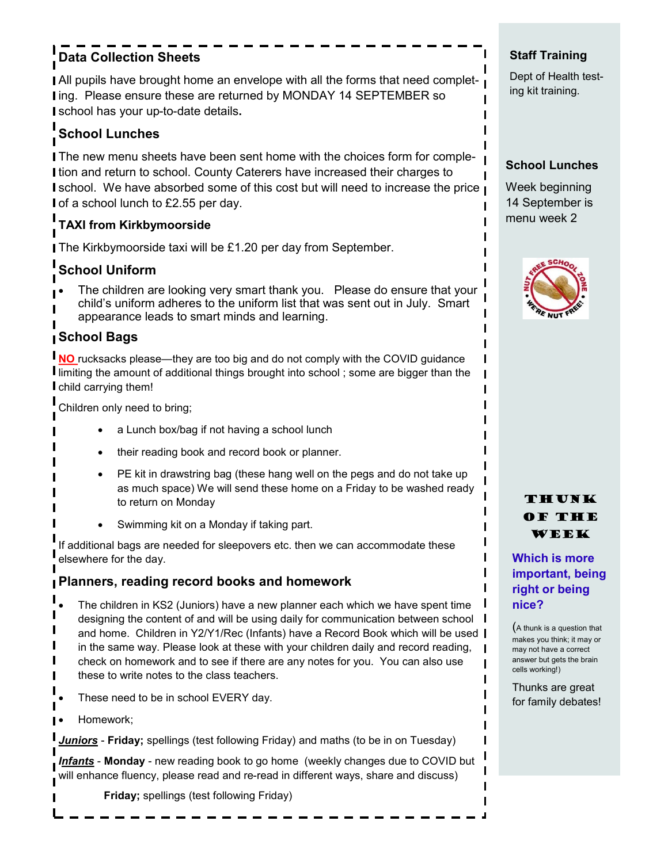# **Data Collection Sheets**

All pupils have brought home an envelope with all the forms that need complet**ling. Please ensure these are returned by MONDAY 14 SEPTEMBER so** school has your up-to-date details**.**

# **School Lunches**

The new menu sheets have been sent home with the choices form for completion and return to school. County Caterers have increased their charges to **I** school. We have absorbed some of this cost but will need to increase the price  $\mathbf{I}$ I of a school lunch to £2.55 per day.

### **TAXI from Kirkbymoorside**

The Kirkbymoorside taxi will be £1.20 per day from September.

# **School Uniform**

The children are looking very smart thank you. Please do ensure that your child's uniform adheres to the uniform list that was sent out in July. Smart appearance leads to smart minds and learning.

# **School Bags**

**NO** rucksacks please—they are too big and do not comply with the COVID guidance I limiting the amount of additional things brought into school; some are bigger than the child carrying them!

Children only need to bring;

- a Lunch box/bag if not having a school lunch
- their reading book and record book or planner.
- PE kit in drawstring bag (these hang well on the pegs and do not take up as much space) We will send these home on a Friday to be washed ready to return on Monday
- Swimming kit on a Monday if taking part.

If additional bags are needed for sleepovers etc. then we can accommodate these elsewhere for the day.

### **Planners, reading record books and homework**

- The children in KS2 (Juniors) have a new planner each which we have spent time designing the content of and will be using daily for communication between school  $\blacksquare$ and home. Children in Y2/Y1/Rec (Infants) have a Record Book which will be used | in the same way. Please look at these with your children daily and record reading, check on homework and to see if there are any notes for you. You can also use these to write notes to the class teachers.
- These need to be in school EVERY day.
- Homework;

*Juniors* - **Friday;** spellings (test following Friday) and maths (to be in on Tuesday)

*Infants* - **Monday** - new reading book to go home (weekly changes due to COVID but will enhance fluency, please read and re-read in different ways, share and discuss)

**Friday;** spellings (test following Friday)

## **Staff Training**

Dept of Health testing kit training.

#### **School Lunches**

Week beginning 14 September is menu week 2



## THUNK of the week

#### **Which is more important, being right or being nice?**

(A thunk is a question that makes you think; it may or may not have a correct answer but gets the brain cells working!)

Thunks are great for family debates!